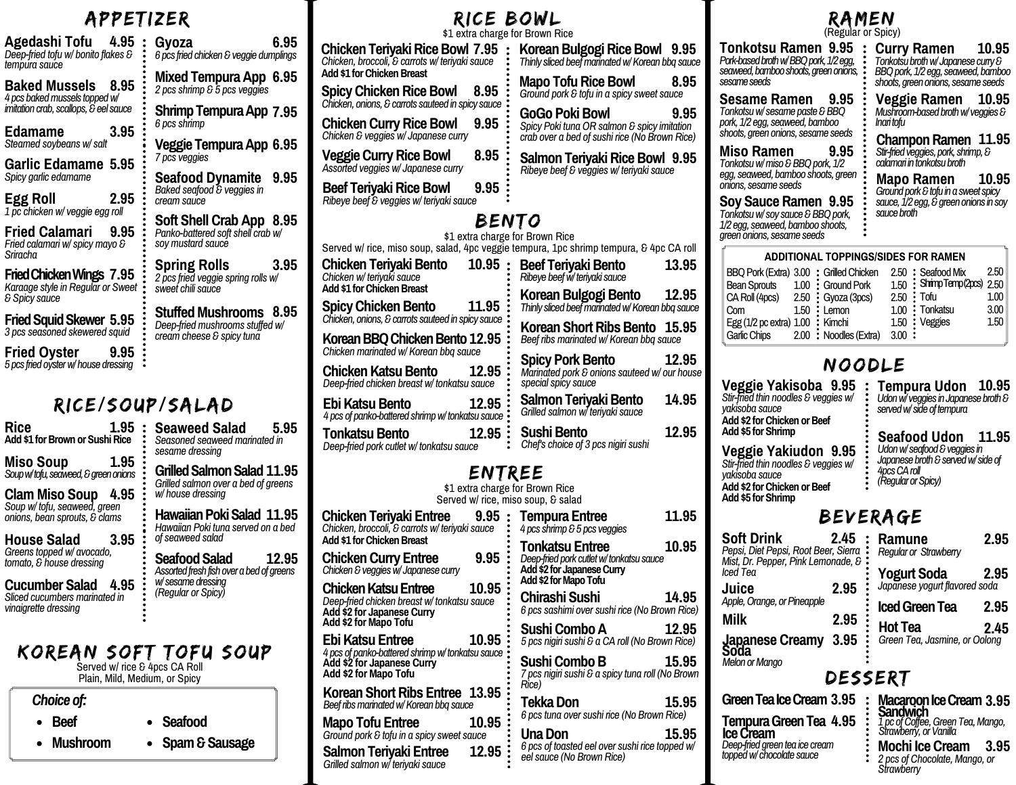# APPETIZER

| Agedashi Tofu<br>4.95<br>Deep-fried tofu w/ bonito flakes &<br>tempura sauce                            | 6.95<br>Gyoza<br>6 pcs fried chicken & veggie dumplings                                          |
|---------------------------------------------------------------------------------------------------------|--------------------------------------------------------------------------------------------------|
| Baked Mussels<br>8.95<br>4 pcs baked mussels topped w/                                                  | Mixed Tempura App 6.95<br>2 pcs shrimp & 5 pcs veggies                                           |
| imitation crab, scallops, & eel sauce                                                                   | Shrimp Tempura App 7.95                                                                          |
| Edamame<br>3.95<br>Steamed soybeans w/ salt                                                             | 6 pcs shrimp<br>Veggie Tempura App 6.95                                                          |
| Garlic Edamame 5.95                                                                                     | 7 pcs veggies                                                                                    |
| Spicy garlic edamame<br>Egg Roll<br>2.95                                                                | <b>Seafood Dynamite</b><br>9.95<br>Baked seafood & veggies in<br>cream sauce                     |
| 1 pc chicken w/ veggie egg roll<br>Fried Calamari<br>9.95<br>Fried calamari w/ spicy mayo &<br>Sriracha | Soft Shell Crab App 8.95<br>Panko-battered soft shell crab w/<br>sov mustard sauce               |
| Fried Chicken Wings 7.95<br>Karaage style in Regular or Sweet<br>& Spicy sauce                          | <b>Spring Rolls</b><br>3.95<br>2 pcs fried veggie spring rolls w/<br>sweet chili sauce           |
| <b>Fried Squid Skewer 5.95</b><br>3 pcs seasoned skewered squid                                         | 8.95<br><b>Stuffed Mushrooms</b><br>Deep-fried mushrooms stuffed w/<br>cream cheese & spicy tuna |
| Fried Oyster<br>9.95<br>5 pcs fried ovster w/ house dressing                                            |                                                                                                  |
|                                                                                                         |                                                                                                  |

# RICE/SOUP/SALAD

| <b>Rice</b><br>1.95<br>Add \$1 for Brown or Sushi Rice                                                                                                                                                                                                                                                                                        | <b>Seaweed Salad</b><br>5.95<br>Seasoned seaweed marinated in<br>sesame dressing                                                                                                                                                                                                               |
|-----------------------------------------------------------------------------------------------------------------------------------------------------------------------------------------------------------------------------------------------------------------------------------------------------------------------------------------------|------------------------------------------------------------------------------------------------------------------------------------------------------------------------------------------------------------------------------------------------------------------------------------------------|
| 1.95<br><b>Miso Soup</b><br>Soup w/ tofu, seaweed, & green onions<br><b>Clam Miso Soup</b><br>4.95<br>Soup w/ tofu, seaweed, green<br>onions, bean sprouts, & clams<br>House Salad<br>3.95<br>Greens topped w/ avocado,<br>tomato, & house dressing<br><b>Cucumber Salad</b><br>4.95<br>Sliced cucumbers marinated in<br>vinaigrette dressing | Grilled Salmon Salad 11.95<br>Grilled salmon over a bed of greens<br>w/ house dressing<br>Hawaiian Poki Salad 11.95<br>Hawaiian Poki tuna served on a bed<br>of seaweed salad<br>Seafood Salad<br>12.95<br>Assorted fresh fish over a bed of greens<br>w/sesame dressing<br>(Regular or Spicy) |
| Choice of:<br>. r                                                                                                                                                                                                                                                                                                                             | KOREAN SOFT TOFU SOUP<br>Served w/ rice & 4pcs CA Roll<br>Plain, Mild, Medium, or Spicy                                                                                                                                                                                                        |

| Choice of:     |                  |
|----------------|------------------|
| $\bullet$ Beef | • Seafood        |
| • Mushroom     | • Spam & Sausage |

### RICE BOWL \$1 extra charge for Brown Rice

**Chicken Teriyaki Rice Bowl 7.95** *Chicken, broccoli, & carrots w/ teriyaki sauce* **Add \$1 forChickenBreast Spicy Chicken Rice Bowl 8.95** *Chicken, onions,&carrots sauteed in spicy sauce* **ChickenCurryRiceBowl 9.95** *Chicken & veggies w/ Japanese curry* **VeggieCurryRiceBowl 8.95** *Assorted veggies w/ Japanese curry* **Beef Terivaki Rice Bowl 9.95** *Ribeye beef & veggies w/ teriyaki sauce* **Korean Bulg** *Thinly sliced beef* **Mapo** Tofu I *Ground pork & to* **GoGo** Poki  $S$ *picy Poki tuna <i>rab over a bed* **Salmon Teri**  $Ribeye$  *beef*  $&b$  *veggies* BENTO \$1 extra charge for Brown Rice

#### Served w/ rice, miso soup, salad, 4pc veggie tempura, 1pc shr **Chicken Terivaki Bento** *Chicken w/ teriyaki sauce* **Add \$1 for Chicken Breast SpicyChickenBento 11.95** *Chicken, onions,&carrots sauteed in spicy sauce* **KoreanBBQChickenBento 12.95** *Chickenmarinated w/ Korean bbq sauce* **Chicken Katsu Bento 12.95** *Deep-fried chicken breast w/ tonkatsu sauce* Ebi Katsu Bento **12.95 10.95** : Beef Teriyal

*4 pcs of panko-battered shrimpw/ tonkatsu sauce* **Tonkatsu Bento 12.95** 

*Deep-fried pork cutlet w/ tonkatsu sauce*

**Salmon Teriyaki Entree 12.95**

*Grilled salmon w/ teriyaki sauce*

### ENTREE \$1 extra charge for Brown Rice

Served w/ rice, miso soup, & salad **Chicken Teriyaki Entree 9.95** *Chicken, broccoli, & carrots w/ teriyaki sauce* **Add \$1 forChickenBreast Chicken Curry Entree** *Chicken&veggiesw/ Japanese curry* **ChickenKatsuEntree 10.95** *Deep-fried chicken breast w/ tonkatsu sauce* **Add \$2 for Japanese Curry Add \$2 forMapo Tofu EbiKatsu Entree 10.95** *4 pcs of panko-battered shrimpw/ tonkatsu sauce* **Add \$2 for Japanese Curry Add \$2 for Mapo Tofu Korean Short Ribs Entree** 13.95 *Beefribsmarinatedw/Korean bbq sauce* **9.95 : Tempura Entrep** *4 pcs shrimp&5 pcs veggies* **Tonkatsu E**i **Add\$2 for JapaneseCurry Add \$2 for Mapo Chirashi Su**  $6$  *pcs sashimi over* **Sushi Com** *5 pcs nigiri sushi & a CA roll (No Brown Rice)* **Mapo Tofu Entree 10.95** *Ground pork & tofu in a spicy sweet sauce* **Sushi Comb** *7 pcs nigiri sushi & a spicy tuna roll (No Brown Rice)* **TekkaDon 15.95** *6 pcs tuna over sushi rice (No Brown Rice)* **9.95 Una Don** *6 pcs of toasted eel over sushi rice topped w/*

| OWL<br>or Brown Rice                                                                                                   | RAMEN<br>(Regular or Spicy)                                                                                                                                                                                                                         |                                                                                                                                                                                                                |  |  |
|------------------------------------------------------------------------------------------------------------------------|-----------------------------------------------------------------------------------------------------------------------------------------------------------------------------------------------------------------------------------------------------|----------------------------------------------------------------------------------------------------------------------------------------------------------------------------------------------------------------|--|--|
| Korean Bulgogi Rice Bowl 9.95<br>Thinly sliced beef marinated w/ Korean bbq sauce                                      | <b>Tonkotsu Ramen 9.95</b><br>Pork-based broth w/ BBQ pork, 1/2 egg,<br>seaweed, bamboo shoots, green onions,                                                                                                                                       | 10.95<br><b>Curry Ramen</b><br>Tonkotsu broth w/ Japanese curry &<br>BBQ pork, 1/2 egg, seaweed, bamboo                                                                                                        |  |  |
| <b>Mapo Tofu Rice Bowl</b><br>8.95<br>Ground pork & tofu in a spicy sweet sauce                                        | sesame seeds                                                                                                                                                                                                                                        | shoots, green onions, sesame seeds<br>10.95                                                                                                                                                                    |  |  |
| GoGo Poki Bowl<br>9.95<br>Spicy Poki tuna OR salmon & spicy imitation<br>crab over a bed of sushi rice (No Brown Rice) | 9.95<br>Sesame Ramen<br>Tonkotsu w/ sesame paste & BBQ<br>pork, 1/2 egg, seaweed, bamboo<br>shoots, green onions, sesame seeds                                                                                                                      | <b>Veggie Ramen</b><br>Mushroom-based broth w/veggies &<br>Inari tofu                                                                                                                                          |  |  |
| Salmon Teriyaki Rice Bowl 9.95<br>Ribeye beef & veggies w/ teriyaki sauce<br>TO<br>or Brown Rice                       | Miso Ramen<br>9.95<br>Tonkotsu w/ miso & BBQ pork, 1/2<br>egg, seaweed, bamboo shoots, green<br>onions, sesame seeds<br>Soy Sauce Ramen 9.95<br>Tonkotsu w/ soy sauce & BBQ pork,<br>1/2 egg, seaweed, bamboo shoots,<br>green onions, sesame seeds | Champon Ramen 11.95<br>Stir-fried veggies, pork, shrimp, &<br>calamari in tonkotsu broth<br>10.95<br>Mapo Ramen<br>Ground pork & tofu in a sweet spicy<br>sauce, 1/2 egg, & green onions in soy<br>sauce broth |  |  |
| empura, 1pc shrimp tempura, & 4pc CA roll                                                                              | <b>ADDITIONAL TOPPINGS/SIDES FOR RAMEN</b>                                                                                                                                                                                                          |                                                                                                                                                                                                                |  |  |
| Beef Teriyaki Bento<br>13.95<br>Ribeye beef w/ teriyaki sauce                                                          | BBQ Pork (Extra) 3.00 : Grilled Chicken                                                                                                                                                                                                             | 2.50<br>2.50 : Seafood Mix                                                                                                                                                                                     |  |  |
| Korean Bulgogi Bento<br>12.95<br>Thinly sliced beef marinated w/ Korean bbq sauce                                      | 1.00:<br><b>Ground Pork</b><br><b>Bean Sprouts</b><br>2.50<br>CA Roll (4pcs)<br>Gyoza (3pcs)<br>1.50<br>Com<br>Lemon                                                                                                                                | Shrimp Temp (2pcs)<br>2.50<br>1.50:<br>Tofu<br>1.00<br>2.50:<br>3.00<br>1.00 : Tonkatsu                                                                                                                        |  |  |
| Korean Short Ribs Bento 15.95<br>Beef ribs marinated w/ Korean bbq sauce                                               | Egg $(1/2$ pc extra) $1.00$ :<br>Kimchi<br><b>Garlic Chips</b><br>2.00:<br>Noodles (Extra)                                                                                                                                                          | 1.50<br>1.50 ∶<br>Veggies<br>3.00:                                                                                                                                                                             |  |  |
| <b>Spicy Pork Bento</b><br>12.95<br>Marinated pork & onions sauteed w/ our house                                       | NOODLE                                                                                                                                                                                                                                              |                                                                                                                                                                                                                |  |  |
| special spicy sauce<br>14.95<br>Salmon Teriyaki Bento<br>Grilled salmon w/ teriyaki sauce                              | Veggie Yakisoba 9.95<br>Stir-fried thin noodles & veggies w/<br>yakisoba sauce                                                                                                                                                                      | 10.95<br>Tempura Udon<br>Udon w/ veggies in Japanese broth $\mathcal S$<br>served w/ side of tempura                                                                                                           |  |  |
| 12.95<br><b>Sushi Bento</b><br>Chef's choice of 3 pcs nigiri sushi                                                     | Add \$2 for Chicken or Beef<br>Add \$5 for Shrimp<br>Veggie Yakiudon 9.95                                                                                                                                                                           | <b>Seafood Udon</b><br>11.95<br>Udon w/ seafood & veggies in                                                                                                                                                   |  |  |
| EE                                                                                                                     | Stir-fried thin noodles & veggies w/<br>yakisoba sauce                                                                                                                                                                                              | Japanese broth & served w/side of<br>4pcs CA roll                                                                                                                                                              |  |  |
| or Brown Rice<br>o soup, & salad                                                                                       | Add \$2 for Chicken or Beef<br>Add \$5 for Shrimp                                                                                                                                                                                                   | (Regular or Spicy)                                                                                                                                                                                             |  |  |
| 11.95<br><b>Tempura Entree</b><br>4 pcs shrimp & 5 pcs veggies                                                         |                                                                                                                                                                                                                                                     | BEVERAGE                                                                                                                                                                                                       |  |  |
| 10.95<br><b>Tonkatsu Entree</b><br>Deep-fried pork cutlet w/tonkatsu sauce<br>Add \$2 for Japanese Curry               | 2.45<br><b>Soft Drink</b><br>Pepsi, Diet Pepsi, Root Beer, Sierra<br>Mist, Dr. Pepper, Pink Lemonade, &                                                                                                                                             | 2.95<br>Ramune<br><b>Regular or Strawberry</b>                                                                                                                                                                 |  |  |
| Add \$2 for Mapo Tofu                                                                                                  | lced Tea<br>2.95<br>Juice                                                                                                                                                                                                                           | <b>Yogurt Soda</b><br>2.95<br>Japanese yogurt jiavorea soaa                                                                                                                                                    |  |  |
| Chirashi Sushi<br>14.95<br>6 pcs sashimi over sushi rice (No Brown Rice)                                               | Apple, Orange, or Pineapple                                                                                                                                                                                                                         | <b>Iced Green Tea</b><br>2.95                                                                                                                                                                                  |  |  |
| Sushi Combo A<br>12.95<br>5 pcs nigiri sushi & a CA roll (No Brown Rice)                                               | <b>Milk</b><br>2.95<br>Japanese Creamy 3.95<br>Soda                                                                                                                                                                                                 | <b>Hot Tea</b><br>2.45<br>Green Tea, Jasmine, or Oolong                                                                                                                                                        |  |  |
| Sushi Combo B<br>15.95<br>7 pcs nigiri sushi & a spicy tuna roll (No Brown                                             | <b>Melon or Manao</b>                                                                                                                                                                                                                               | DESSERT                                                                                                                                                                                                        |  |  |
| Rice)<br><b>Tekka Don</b><br>15.95<br>6 pcs tuna over sushi rice (No Brown Rice)                                       | Green Tea Ice Cream 3.95                                                                                                                                                                                                                            | Macaroon Ice Cream 3.95<br>Sandwich                                                                                                                                                                            |  |  |
| Una Don<br>15.95<br>6 pcs of toasted eel over sushi rice topped w/<br>eel sauce (No Brown Rice)                        | Tempura Green Tea 4.95<br><b>Ice Cream</b><br>Deep-fried green tea ice cream<br>topped w/ chocolate sauce                                                                                                                                           | 1 pc of Coffee, Green Tea, Mango,<br>Strawberry, or Vanilla<br><b>Mochi Ice Cream</b><br>3.95<br>2 pcs of Chocolate, Mango, or                                                                                 |  |  |

*Strawberry*